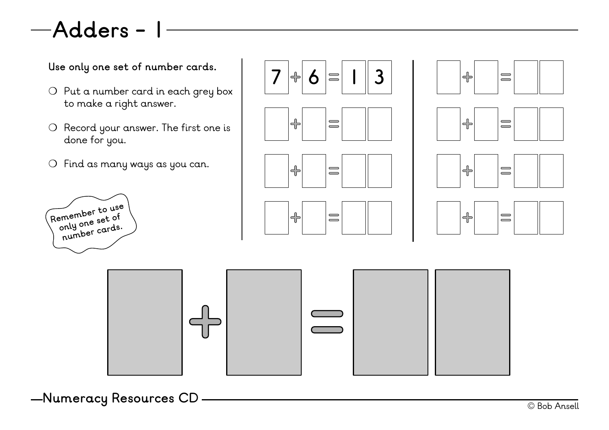## **Adders - 1**

- ❍ Put a number card in each grey box to make a right answer.
- ❍ Record your answer. The first one is done for you.
- ❍ Find as many ways as you can.





















© Bob Ansell **Numeracy Resources CD**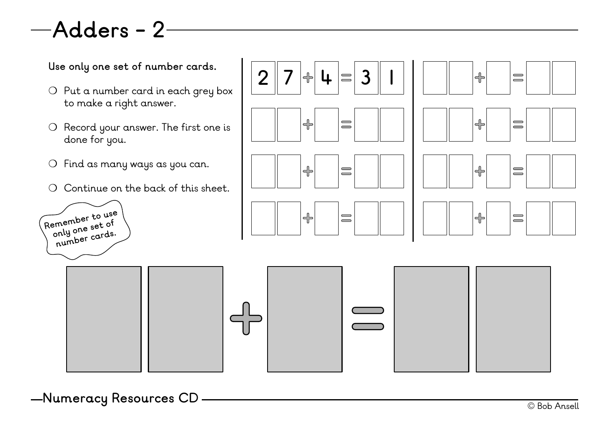## **Adders - 2**

Use only one set of number cards.<br> $\boxed{2}$   $\boxed{7}$   $\boxed{4}$   $\boxed{4}$   $\boxed{5}$  3

- ❍ Put a number card in each grey box to make a right answer.
- ❍ Record your answer. The first one is done for you.
- ❍ Find as many ways as you can.
- ❍ Continue on the back of this sheet.







 $\left| \bigoplus \right|$ 

 $\begin{array}{c}\n\hline\n\end{array}$ 



© Bob Ansell **Numeracy Resources CD**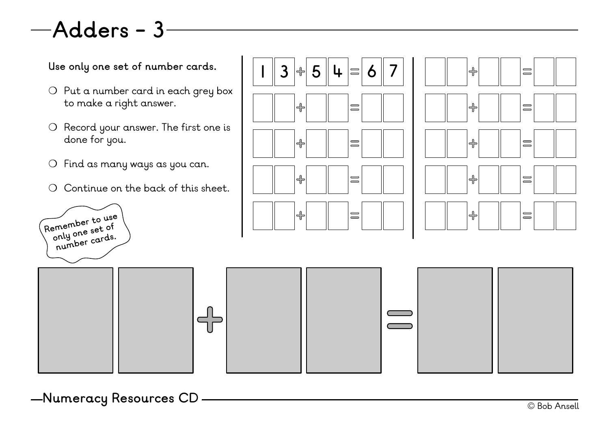## **Adders - 3**

- ❍ Put a number card in each grey box to make a right answer.
- ❍ Record your answer. The first one is done for you.
- ❍ Find as many ways as you can.
- ❍ Continue on the back of this sheet.









© Bob Ansell **Numeracy Resources CD**